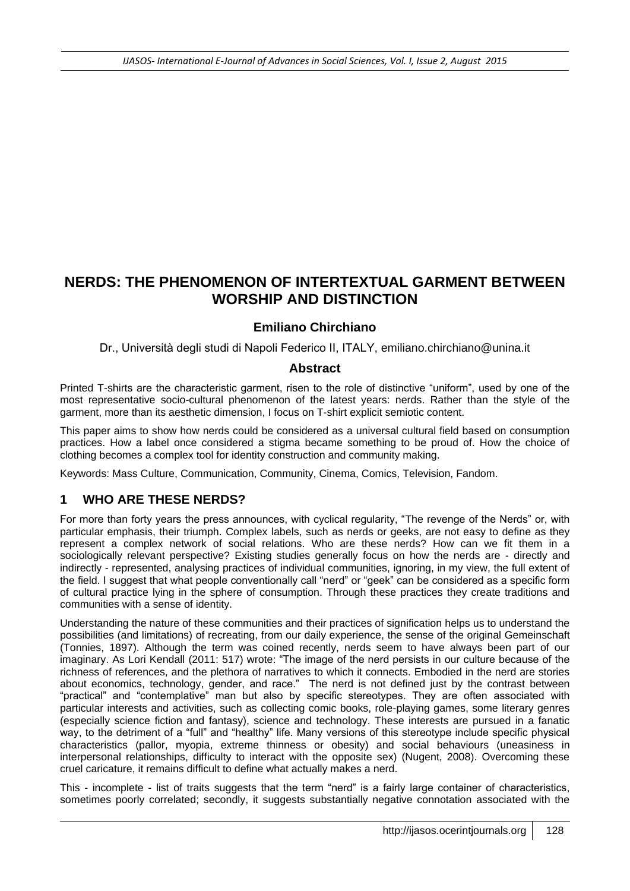# **NERDS: THE PHENOMENON OF INTERTEXTUAL GARMENT BETWEEN WORSHIP AND DISTINCTION**

### **Emiliano Chirchiano**

Dr., Università degli studi di Napoli Federico II, ITALY, [emiliano.chirchiano@unina.it](mailto:emiliano.chirchiano@unina.it)

#### **Abstract**

Printed T-shirts are the characteristic garment, risen to the role of distinctive "uniform", used by one of the most representative socio-cultural phenomenon of the latest years: nerds. Rather than the style of the garment, more than its aesthetic dimension, I focus on T-shirt explicit semiotic content.

This paper aims to show how nerds could be considered as a universal cultural field based on consumption practices. How a label once considered a stigma became something to be proud of. How the choice of clothing becomes a complex tool for identity construction and community making.

Keywords: Mass Culture, Communication, Community, Cinema, Comics, Television, Fandom.

### **1 WHO ARE THESE NERDS?**

For more than forty years the press announces, with cyclical regularity, "The revenge of the Nerds" or, with particular emphasis, their triumph. Complex labels, such as nerds or geeks, are not easy to define as they represent a complex network of social relations. Who are these nerds? How can we fit them in a sociologically relevant perspective? Existing studies generally focus on how the nerds are - directly and indirectly - represented, analysing practices of individual communities, ignoring, in my view, the full extent of the field. I suggest that what people conventionally call "nerd" or "geek" can be considered as a specific form of cultural practice lying in the sphere of consumption. Through these practices they create traditions and communities with a sense of identity.

Understanding the nature of these communities and their practices of signification helps us to understand the possibilities (and limitations) of recreating, from our daily experience, the sense of the original Gemeinschaft (Tonnies, 1897). Although the term was coined recently, nerds seem to have always been part of our imaginary. As Lori Kendall (2011: 517) wrote: "The image of the nerd persists in our culture because of the richness of references, and the plethora of narratives to which it connects. Embodied in the nerd are stories about economics, technology, gender, and race." The nerd is not defined just by the contrast between "practical" and "contemplative" man but also by specific stereotypes. They are often associated with particular interests and activities, such as collecting comic books, role-playing games, some literary genres (especially science fiction and fantasy), science and technology. These interests are pursued in a fanatic way, to the detriment of a "full" and "healthy" life. Many versions of this stereotype include specific physical characteristics (pallor, myopia, extreme thinness or obesity) and social behaviours (uneasiness in interpersonal relationships, difficulty to interact with the opposite sex) (Nugent, 2008). Overcoming these cruel caricature, it remains difficult to define what actually makes a nerd.

This - incomplete - list of traits suggests that the term "nerd" is a fairly large container of characteristics, sometimes poorly correlated; secondly, it suggests substantially negative connotation associated with the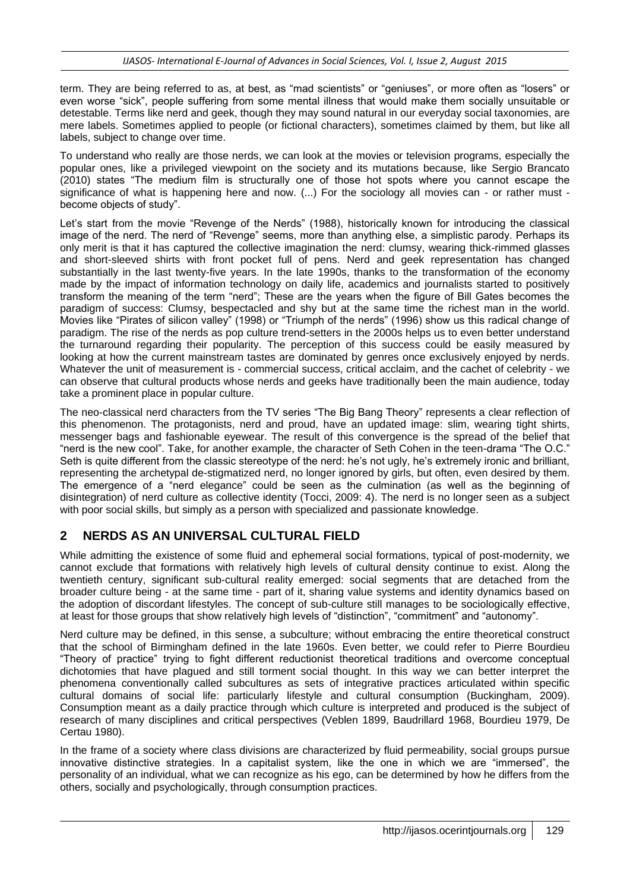term. They are being referred to as, at best, as "mad scientists" or "geniuses", or more often as "losers" or even worse "sick", people suffering from some mental illness that would make them socially unsuitable or detestable. Terms like nerd and geek, though they may sound natural in our everyday social taxonomies, are mere labels. Sometimes applied to people (or fictional characters), sometimes claimed by them, but like all labels, subject to change over time.

To understand who really are those nerds, we can look at the movies or television programs, especially the popular ones, like a privileged viewpoint on the society and its mutations because, like Sergio Brancato (2010) states "The medium film is structurally one of those hot spots where you cannot escape the significance of what is happening here and now. (...) For the sociology all movies can - or rather must become objects of study".

Let's start from the movie "Revenge of the Nerds" (1988), historically known for introducing the classical image of the nerd. The nerd of "Revenge" seems, more than anything else, a simplistic parody. Perhaps its only merit is that it has captured the collective imagination the nerd: clumsy, wearing thick-rimmed glasses and short-sleeved shirts with front pocket full of pens. Nerd and geek representation has changed substantially in the last twenty-five years. In the late 1990s, thanks to the transformation of the economy made by the impact of information technology on daily life, academics and journalists started to positively transform the meaning of the term "nerd"; These are the years when the figure of Bill Gates becomes the paradigm of success: Clumsy, bespectacled and shy but at the same time the richest man in the world. Movies like "Pirates of silicon valley" (1998) or "Triumph of the nerds" (1996) show us this radical change of paradigm. The rise of the nerds as pop culture trend-setters in the 2000s helps us to even better understand the turnaround regarding their popularity. The perception of this success could be easily measured by looking at how the current mainstream tastes are dominated by genres once exclusively enjoyed by nerds. Whatever the unit of measurement is - commercial success, critical acclaim, and the cachet of celebrity - we can observe that cultural products whose nerds and geeks have traditionally been the main audience, today take a prominent place in popular culture.

The neo-classical nerd characters from the TV series "The Big Bang Theory" represents a clear reflection of this phenomenon. The protagonists, nerd and proud, have an updated image: slim, wearing tight shirts, messenger bags and fashionable eyewear. The result of this convergence is the spread of the belief that "nerd is the new cool". Take, for another example, the character of Seth Cohen in the teen-drama "The O.C." Seth is quite different from the classic stereotype of the nerd: he's not ugly, he's extremely ironic and brilliant, representing the archetypal de-stigmatized nerd, no longer ignored by girls, but often, even desired by them. The emergence of a "nerd elegance" could be seen as the culmination (as well as the beginning of disintegration) of nerd culture as collective identity (Tocci, 2009: 4). The nerd is no longer seen as a subject with poor social skills, but simply as a person with specialized and passionate knowledge.

# **2 NERDS AS AN UNIVERSAL CULTURAL FIELD**

While admitting the existence of some fluid and ephemeral social formations, typical of post-modernity, we cannot exclude that formations with relatively high levels of cultural density continue to exist. Along the twentieth century, significant sub-cultural reality emerged: social segments that are detached from the broader culture being - at the same time - part of it, sharing value systems and identity dynamics based on the adoption of discordant lifestyles. The concept of sub-culture still manages to be sociologically effective, at least for those groups that show relatively high levels of "distinction", "commitment" and "autonomy".

Nerd culture may be defined, in this sense, a subculture; without embracing the entire theoretical construct that the school of Birmingham defined in the late 1960s. Even better, we could refer to Pierre Bourdieu "Theory of practice" trying to fight different reductionist theoretical traditions and overcome conceptual dichotomies that have plagued and still torment social thought. In this way we can better interpret the phenomena conventionally called subcultures as sets of integrative practices articulated within specific cultural domains of social life: particularly lifestyle and cultural consumption (Buckingham, 2009). Consumption meant as a daily practice through which culture is interpreted and produced is the subject of research of many disciplines and critical perspectives (Veblen 1899, Baudrillard 1968, Bourdieu 1979, De Certau 1980).

In the frame of a society where class divisions are characterized by fluid permeability, social groups pursue innovative distinctive strategies. In a capitalist system, like the one in which we are "immersed", the personality of an individual, what we can recognize as his ego, can be determined by how he differs from the others, socially and psychologically, through consumption practices.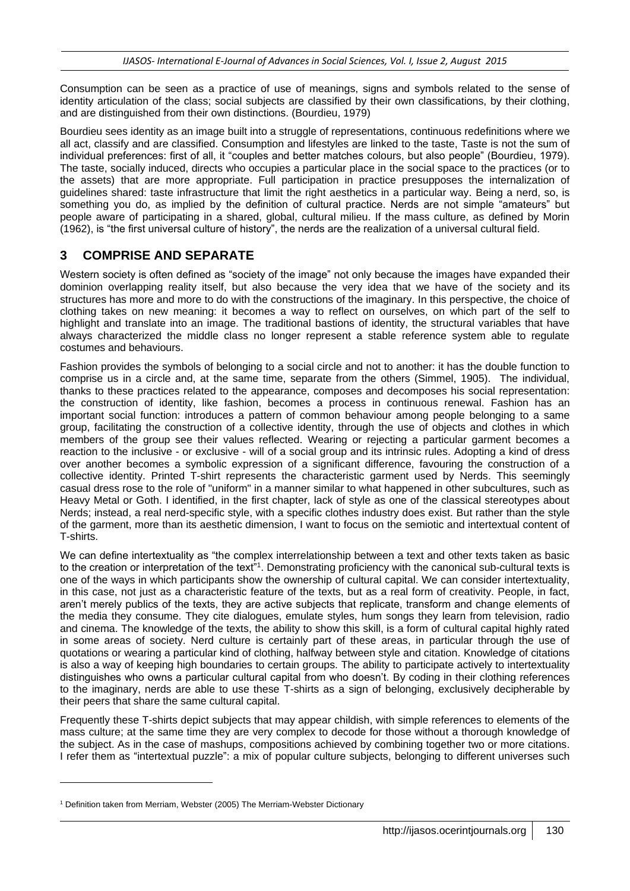Consumption can be seen as a practice of use of meanings, signs and symbols related to the sense of identity articulation of the class; social subjects are classified by their own classifications, by their clothing, and are distinguished from their own distinctions. (Bourdieu, 1979)

Bourdieu sees identity as an image built into a struggle of representations, continuous redefinitions where we all act, classify and are classified. Consumption and lifestyles are linked to the taste, Taste is not the sum of individual preferences: first of all, it "couples and better matches colours, but also people" (Bourdieu, 1979). The taste, socially induced, directs who occupies a particular place in the social space to the practices (or to the assets) that are more appropriate. Full participation in practice presupposes the internalization of guidelines shared: taste infrastructure that limit the right aesthetics in a particular way. Being a nerd, so, is something you do, as implied by the definition of cultural practice. Nerds are not simple "amateurs" but people aware of participating in a shared, global, cultural milieu. If the mass culture, as defined by Morin (1962), is "the first universal culture of history", the nerds are the realization of a universal cultural field.

## **3 COMPRISE AND SEPARATE**

Western society is often defined as "society of the image" not only because the images have expanded their dominion overlapping reality itself, but also because the very idea that we have of the society and its structures has more and more to do with the constructions of the imaginary. In this perspective, the choice of clothing takes on new meaning: it becomes a way to reflect on ourselves, on which part of the self to highlight and translate into an image. The traditional bastions of identity, the structural variables that have always characterized the middle class no longer represent a stable reference system able to regulate costumes and behaviours.

Fashion provides the symbols of belonging to a social circle and not to another: it has the double function to comprise us in a circle and, at the same time, separate from the others (Simmel, 1905). The individual, thanks to these practices related to the appearance, composes and decomposes his social representation: the construction of identity, like fashion, becomes a process in continuous renewal. Fashion has an important social function: introduces a pattern of common behaviour among people belonging to a same group, facilitating the construction of a collective identity, through the use of objects and clothes in which members of the group see their values reflected. Wearing or rejecting a particular garment becomes a reaction to the inclusive - or exclusive - will of a social group and its intrinsic rules. Adopting a kind of dress over another becomes a symbolic expression of a significant difference, favouring the construction of a collective identity. Printed T-shirt represents the characteristic garment used by Nerds. This seemingly casual dress rose to the role of "uniform" in a manner similar to what happened in other subcultures, such as Heavy Metal or Goth. I identified, in the first chapter, lack of style as one of the classical stereotypes about Nerds; instead, a real nerd-specific style, with a specific clothes industry does exist. But rather than the style of the garment, more than its aesthetic dimension, I want to focus on the semiotic and intertextual content of T-shirts.

We can define intertextuality as "the complex interrelationship between a text and other texts taken as basic to the creation or interpretation of the text"<sup>1</sup>. Demonstrating proficiency with the canonical sub-cultural texts is one of the ways in which participants show the ownership of cultural capital. We can consider intertextuality, in this case, not just as a characteristic feature of the texts, but as a real form of creativity. People, in fact, aren't merely publics of the texts, they are active subjects that replicate, transform and change elements of the media they consume. They cite dialogues, emulate styles, hum songs they learn from television, radio and cinema. The knowledge of the texts, the ability to show this skill, is a form of cultural capital highly rated in some areas of society. Nerd culture is certainly part of these areas, in particular through the use of quotations or wearing a particular kind of clothing, halfway between style and citation. Knowledge of citations is also a way of keeping high boundaries to certain groups. The ability to participate actively to intertextuality distinguishes who owns a particular cultural capital from who doesn't. By coding in their clothing references to the imaginary, nerds are able to use these T-shirts as a sign of belonging, exclusively decipherable by their peers that share the same cultural capital.

Frequently these T-shirts depict subjects that may appear childish, with simple references to elements of the mass culture; at the same time they are very complex to decode for those without a thorough knowledge of the subject. As in the case of mashups, compositions achieved by combining together two or more citations. I refer them as "intertextual puzzle": a mix of popular culture subjects, belonging to different universes such

l

<sup>&</sup>lt;sup>1</sup> Definition taken from Merriam, Webster (2005) The Merriam-Webster Dictionary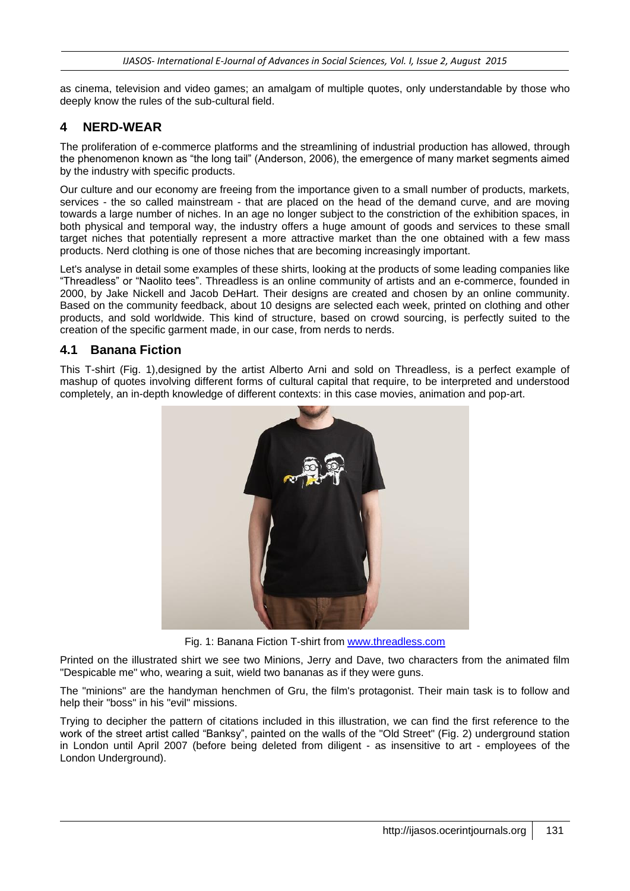as cinema, television and video games; an amalgam of multiple quotes, only understandable by those who deeply know the rules of the sub-cultural field.

## **4 NERD-WEAR**

The proliferation of e-commerce platforms and the streamlining of industrial production has allowed, through the phenomenon known as "the long tail" (Anderson, 2006), the emergence of many market segments aimed by the industry with specific products.

Our culture and our economy are freeing from the importance given to a small number of products, markets, services - the so called mainstream - that are placed on the head of the demand curve, and are moving towards a large number of niches. In an age no longer subject to the constriction of the exhibition spaces, in both physical and temporal way, the industry offers a huge amount of goods and services to these small target niches that potentially represent a more attractive market than the one obtained with a few mass products. Nerd clothing is one of those niches that are becoming increasingly important.

Let's analyse in detail some examples of these shirts, looking at the products of some leading companies like "Threadless" or "Naolito tees". Threadless is an online community of artists and an e-commerce, founded in 2000, by Jake Nickell and Jacob DeHart. Their designs are created and chosen by an online community. Based on the community feedback, about 10 designs are selected each week, printed on clothing and other products, and sold worldwide. This kind of structure, based on crowd sourcing, is perfectly suited to the creation of the specific garment made, in our case, from nerds to nerds.

#### **4.1 Banana Fiction**

This T-shirt (Fig. 1),designed by the artist Alberto Arni and sold on Threadless, is a perfect example of mashup of quotes involving different forms of cultural capital that require, to be interpreted and understood completely, an in-depth knowledge of different contexts: in this case movies, animation and pop-art.



Fig. 1: Banana Fiction T-shirt from [www.threadless.com](http://www.threadless.com/)

Printed on the illustrated shirt we see two Minions, Jerry and Dave, two characters from the animated film "Despicable me" who, wearing a suit, wield two bananas as if they were guns.

The "minions" are the handyman henchmen of Gru, the film's protagonist. Their main task is to follow and help their "boss" in his "evil" missions.

Trying to decipher the pattern of citations included in this illustration, we can find the first reference to the work of the street artist called "Banksy", painted on the walls of the "Old Street" (Fig. 2) underground station in London until April 2007 (before being deleted from diligent - as insensitive to art - employees of the London Underground).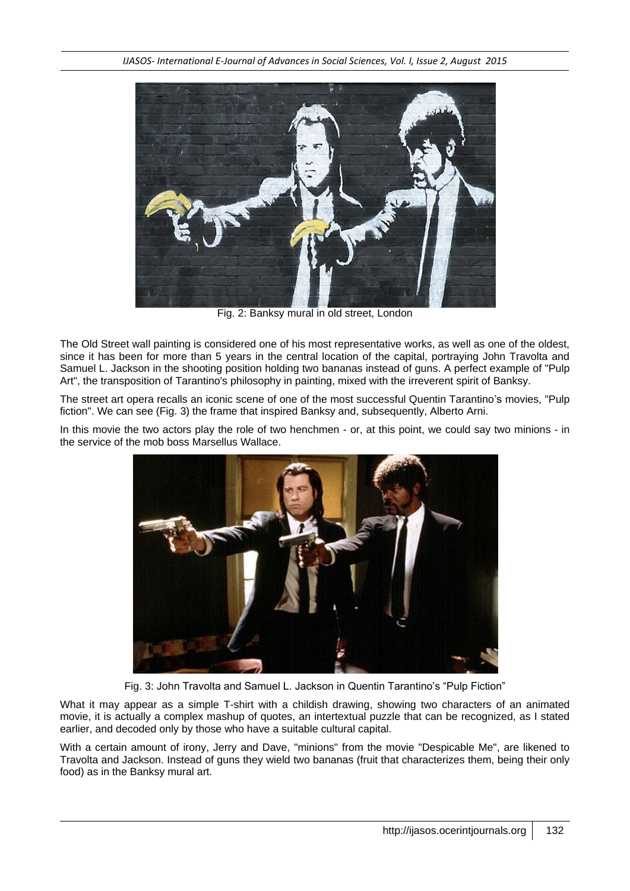

Fig. 2: Banksy mural in old street, London

The Old Street wall painting is considered one of his most representative works, as well as one of the oldest, since it has been for more than 5 years in the central location of the capital, portraying John Travolta and Samuel L. Jackson in the shooting position holding two bananas instead of guns. A perfect example of "Pulp Art", the transposition of Tarantino's philosophy in painting, mixed with the irreverent spirit of Banksy.

The street art opera recalls an iconic scene of one of the most successful Quentin Tarantino's movies, "Pulp fiction". We can see (Fig. 3) the frame that inspired Banksy and, subsequently, Alberto Arni.

In this movie the two actors play the role of two henchmen - or, at this point, we could say two minions - in the service of the mob boss Marsellus Wallace.



Fig. 3: John Travolta and Samuel L. Jackson in Quentin Tarantino's "Pulp Fiction"

What it may appear as a simple T-shirt with a childish drawing, showing two characters of an animated movie, it is actually a complex mashup of quotes, an intertextual puzzle that can be recognized, as I stated earlier, and decoded only by those who have a suitable cultural capital.

With a certain amount of irony, Jerry and Dave, "minions" from the movie "Despicable Me", are likened to Travolta and Jackson. Instead of guns they wield two bananas (fruit that characterizes them, being their only food) as in the Banksy mural art.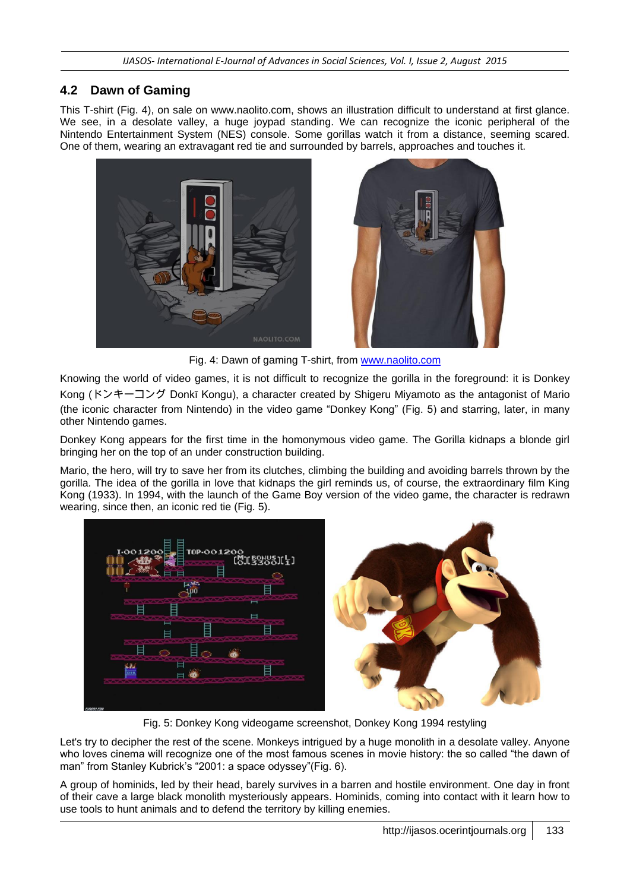# **4.2 Dawn of Gaming**

This T-shirt (Fig. 4), on sale on www.naolito.com, shows an illustration difficult to understand at first glance. We see, in a desolate valley, a huge joypad standing. We can recognize the iconic peripheral of the Nintendo Entertainment System (NES) console. Some gorillas watch it from a distance, seeming scared. One of them, wearing an extravagant red tie and surrounded by barrels, approaches and touches it.





Fig. 4: Dawn of gaming T-shirt, from [www.naolito.com](http://www.naolito.com/)

Knowing the world of video games, it is not difficult to recognize the gorilla in the foreground: it is Donkey Kong (ドンキーコング Donkī Kongu), a character created by Shigeru Miyamoto as the antagonist of Mario (the iconic character from Nintendo) in the video game "Donkey Kong" (Fig. 5) and starring, later, in many other Nintendo games.

Donkey Kong appears for the first time in the homonymous video game. The Gorilla kidnaps a blonde girl bringing her on the top of an under construction building.

Mario, the hero, will try to save her from its clutches, climbing the building and avoiding barrels thrown by the gorilla. The idea of the gorilla in love that kidnaps the girl reminds us, of course, the extraordinary film King Kong (1933). In 1994, with the launch of the Game Boy version of the video game, the character is redrawn wearing, since then, an iconic red tie (Fig. 5).



Fig. 5: Donkey Kong videogame screenshot, Donkey Kong 1994 restyling

Let's try to decipher the rest of the scene. Monkeys intrigued by a huge monolith in a desolate valley. Anyone who loves cinema will recognize one of the most famous scenes in movie history: the so called "the dawn of man" from Stanley Kubrick's "2001: a space odyssey"(Fig. 6).

A group of hominids, led by their head, barely survives in a barren and hostile environment. One day in front of their cave a large black monolith mysteriously appears. Hominids, coming into contact with it learn how to use tools to hunt animals and to defend the territory by killing enemies.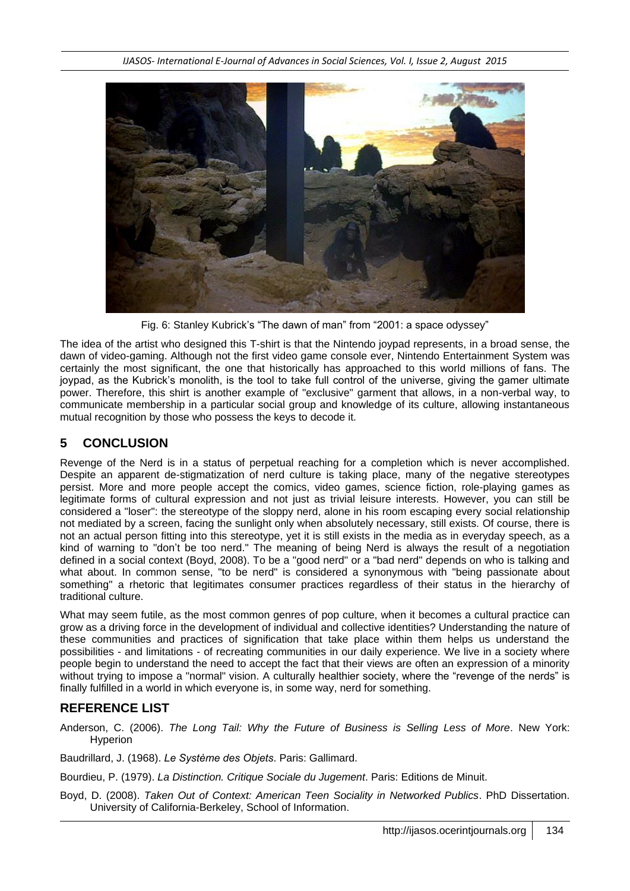

Fig. 6: Stanley Kubrick's "The dawn of man" from "2001: a space odyssey"

The idea of the artist who designed this T-shirt is that the Nintendo joypad represents, in a broad sense, the dawn of video-gaming. Although not the first video game console ever, Nintendo Entertainment System was certainly the most significant, the one that historically has approached to this world millions of fans. The joypad, as the Kubrick's monolith, is the tool to take full control of the universe, giving the gamer ultimate power. Therefore, this shirt is another example of "exclusive" garment that allows, in a non-verbal way, to communicate membership in a particular social group and knowledge of its culture, allowing instantaneous mutual recognition by those who possess the keys to decode it.

## **5 CONCLUSION**

Revenge of the Nerd is in a status of perpetual reaching for a completion which is never accomplished. Despite an apparent de-stigmatization of nerd culture is taking place, many of the negative stereotypes persist. More and more people accept the comics, video games, science fiction, role-playing games as legitimate forms of cultural expression and not just as trivial leisure interests. However, you can still be considered a "loser": the stereotype of the sloppy nerd, alone in his room escaping every social relationship not mediated by a screen, facing the sunlight only when absolutely necessary, still exists. Of course, there is not an actual person fitting into this stereotype, yet it is still exists in the media as in everyday speech, as a kind of warning to "don't be too nerd." The meaning of being Nerd is always the result of a negotiation defined in a social context (Boyd, 2008). To be a "good nerd" or a "bad nerd" depends on who is talking and what about. In common sense, "to be nerd" is considered a synonymous with "being passionate about something" a rhetoric that legitimates consumer practices regardless of their status in the hierarchy of traditional culture.

What may seem futile, as the most common genres of pop culture, when it becomes a cultural practice can grow as a driving force in the development of individual and collective identities? Understanding the nature of these communities and practices of signification that take place within them helps us understand the possibilities - and limitations - of recreating communities in our daily experience. We live in a society where people begin to understand the need to accept the fact that their views are often an expression of a minority without trying to impose a "normal" vision. A culturally healthier society, where the "revenge of the nerds" is finally fulfilled in a world in which everyone is, in some way, nerd for something.

### **REFERENCE LIST**

Anderson, C. (2006). *The Long Tail: Why the Future of Business is Selling Less of More*. New York: **Hyperion** 

Baudrillard, J. (1968). *Le Système des Objets*. Paris: Gallimard.

Bourdieu, P. (1979). *La Distinction. Critique Sociale du Jugement*. Paris: Editions de Minuit.

Boyd, D. (2008). *Taken Out of Context: American Teen Sociality in Networked Publics*. PhD Dissertation. University of California-Berkeley, School of Information.